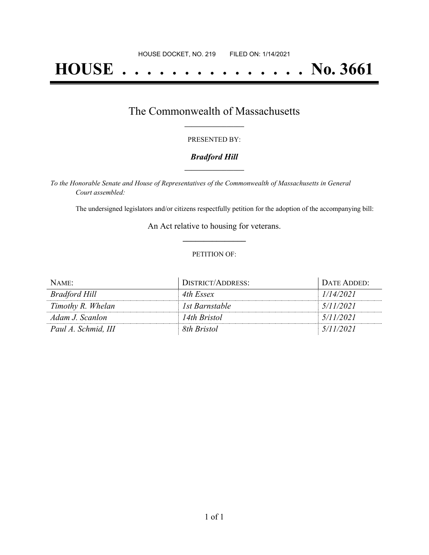# **HOUSE . . . . . . . . . . . . . . . No. 3661**

### The Commonwealth of Massachusetts **\_\_\_\_\_\_\_\_\_\_\_\_\_\_\_\_\_**

#### PRESENTED BY:

#### *Bradford Hill* **\_\_\_\_\_\_\_\_\_\_\_\_\_\_\_\_\_**

*To the Honorable Senate and House of Representatives of the Commonwealth of Massachusetts in General Court assembled:*

The undersigned legislators and/or citizens respectfully petition for the adoption of the accompanying bill:

An Act relative to housing for veterans. **\_\_\_\_\_\_\_\_\_\_\_\_\_\_\_**

#### PETITION OF:

| NAME:               | DISTRICT/ADDRESS: | DATE ADDED: |
|---------------------|-------------------|-------------|
| Bradford Hill       | 4th Essex         | 1/14/2021   |
| Timothy R. Whelan   | 1st Barnstable    | 5/11/2021   |
| Adam J. Scanlon     | 14th Bristol      | 5/11/2021   |
| Paul A. Schmid, III | 8th Bristol       | 5/11/2021   |